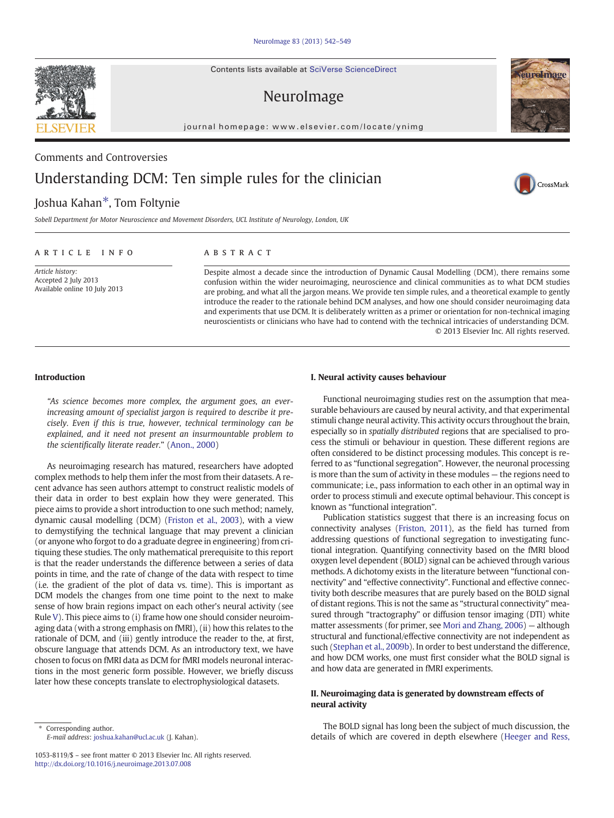Contents lists available at SciVerse ScienceDirect

# NeuroImage

journal homepage: www.elsevier.com/locate/ynimg

# Comments and Controversies

# Understanding DCM: Ten simple rules for the clinician

# Joshua Kahan<sup>\*</sup>, Tom Foltynie

Sobell Department for Motor Neuroscience and Movement Disorders, UCL Institute of Neurology, London, UK

#### article info abstract

Article history: Accepted 2 July 2013 Available online 10 July 2013

Despite almost a decade since the introduction of Dynamic Causal Modelling (DCM), there remains some confusion within the wider neuroimaging, neuroscience and clinical communities as to what DCM studies are probing, and what all the jargon means. We provide ten simple rules, and a theoretical example to gently introduce the reader to the rationale behind DCM analyses, and how one should consider neuroimaging data and experiments that use DCM. It is deliberately written as a primer or orientation for non-technical imaging neuroscientists or clinicians who have had to contend with the technical intricacies of understanding DCM. © 2013 Elsevier Inc. All rights reserved.

# Introduction

"As science becomes more complex, the argument goes, an everincreasing amount of specialist jargon is required to describe it precisely. Even if this is true, however, technical terminology can be explained, and it need not present an insurmountable problem to the scientifically literate reader." [\(Anon., 2000\)](#page-6-0)

As neuroimaging research has matured, researchers have adopted complex methods to help them infer the most from their datasets. A recent advance has seen authors attempt to construct realistic models of their data in order to best explain how they were generated. This piece aims to provide a short introduction to one such method; namely, dynamic causal modelling (DCM) [\(Friston et al., 2003\)](#page-7-0), with a view to demystifying the technical language that may prevent a clinician (or anyone who forgot to do a graduate degree in engineering) from critiquing these studies. The only mathematical prerequisite to this report is that the reader understands the difference between a series of data points in time, and the rate of change of the data with respect to time (i.e. the gradient of the plot of data vs. time). This is important as DCM models the changes from one time point to the next to make sense of how brain regions impact on each other's neural activity (see Rule [V](#page-2-0)). This piece aims to (i) frame how one should consider neuroimaging data (with a strong emphasis on fMRI), (ii) how this relates to the rationale of DCM, and (iii) gently introduce the reader to the, at first, obscure language that attends DCM. As an introductory text, we have chosen to focus on fMRI data as DCM for fMRI models neuronal interactions in the most generic form possible. However, we briefly discuss later how these concepts translate to electrophysiological datasets.

⁎ Corresponding author. E-mail address: [joshua.kahan@ucl.ac.uk](mailto:joshua.kahan@ucl.ac.uk) (J. Kahan).

#### I. Neural activity causes behaviour

Functional neuroimaging studies rest on the assumption that measurable behaviours are caused by neural activity, and that experimental stimuli change neural activity. This activity occurs throughout the brain, especially so in spatially distributed regions that are specialised to process the stimuli or behaviour in question. These different regions are often considered to be distinct processing modules. This concept is referred to as "functional segregation". However, the neuronal processing is more than the sum of activity in these modules — the regions need to communicate; i.e., pass information to each other in an optimal way in order to process stimuli and execute optimal behaviour. This concept is known as "functional integration".

Publication statistics suggest that there is an increasing focus on connectivity analyses ([Friston, 2011](#page-7-0)), as the field has turned from addressing questions of functional segregation to investigating functional integration. Quantifying connectivity based on the fMRI blood oxygen level dependent (BOLD) signal can be achieved through various methods. A dichotomy exists in the literature between "functional connectivity" and "effective connectivity". Functional and effective connectivity both describe measures that are purely based on the BOLD signal of distant regions. This is not the same as "structural connectivity" measured through "tractography" or diffusion tensor imaging (DTI) white matter assessments (for primer, see [Mori and Zhang, 2006](#page-7-0)) — although structural and functional/effective connectivity are not independent as such [\(Stephan et al., 2009b\)](#page-7-0). In order to best understand the difference, and how DCM works, one must first consider what the BOLD signal is and how data are generated in fMRI experiments.

# II. Neuroimaging data is generated by downstream effects of neural activity

The BOLD signal has long been the subject of much discussion, the details of which are covered in depth elsewhere [\(Heeger and Ress,](#page-7-0)

<span id="page-0-0"></span>





<sup>1053-8119/\$</sup> – see front matter © 2013 Elsevier Inc. All rights reserved. <http://dx.doi.org/10.1016/j.neuroimage.2013.07.008>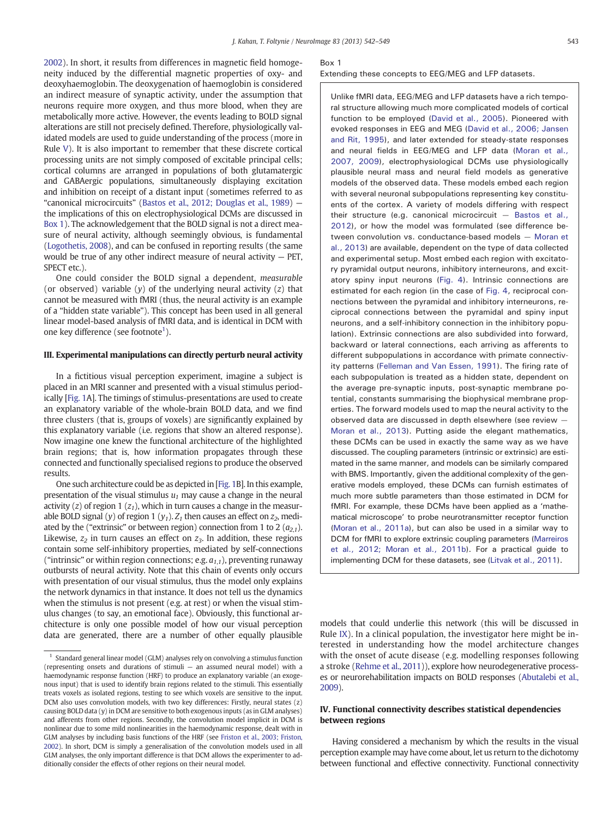<span id="page-1-0"></span>[2002\)](#page-7-0). In short, it results from differences in magnetic field homogeneity induced by the differential magnetic properties of oxy- and deoxyhaemoglobin. The deoxygenation of haemoglobin is considered an indirect measure of synaptic activity, under the assumption that neurons require more oxygen, and thus more blood, when they are metabolically more active. However, the events leading to BOLD signal alterations are still not precisely defined. Therefore, physiologically validated models are used to guide understanding of the process (more in Rule [V](#page-2-0)). It is also important to remember that these discrete cortical processing units are not simply composed of excitable principal cells; cortical columns are arranged in populations of both glutamatergic and GABAergic populations, simultaneously displaying excitation and inhibition on receipt of a distant input (sometimes referred to as "canonical microcircuits" [\(Bastos et al., 2012; Douglas et al., 1989\)](#page-6-0) the implications of this on electrophysiological DCMs are discussed in Box 1). The acknowledgement that the BOLD signal is not a direct measure of neural activity, although seemingly obvious, is fundamental [\(Logothetis, 2008\)](#page-7-0), and can be confused in reporting results (the same would be true of any other indirect measure of neural activity — PET, SPECT etc.).

One could consider the BOLD signal a dependent, measurable (or observed) variable  $(y)$  of the underlying neural activity  $(z)$  that cannot be measured with fMRI (thus, the neural activity is an example of a "hidden state variable"). This concept has been used in all general linear model-based analysis of fMRI data, and is identical in DCM with one key difference (see footnote<sup>1</sup>).

#### III. Experimental manipulations can directly perturb neural activity

In a fictitious visual perception experiment, imagine a subject is placed in an MRI scanner and presented with a visual stimulus periodically [[Fig. 1A](#page-2-0)]. The timings of stimulus-presentations are used to create an explanatory variable of the whole-brain BOLD data, and we find three clusters (that is, groups of voxels) are significantly explained by this explanatory variable (i.e. regions that show an altered response). Now imagine one knew the functional architecture of the highlighted brain regions; that is, how information propagates through these connected and functionally specialised regions to produce the observed results.

One such architecture could be as depicted in [[Fig. 1](#page-2-0)B]. In this example, presentation of the visual stimulus  $u_1$  may cause a change in the neural activity (z) of region 1 ( $z_1$ ), which in turn causes a change in the measurable BOLD signal (y) of region 1 (y<sub>1</sub>).  $Z_1$  then causes an effect on  $z_2$ , mediated by the ("extrinsic" or between region) connection from 1 to 2  $(a_{2,1})$ . Likewise,  $z_2$  in turn causes an effect on  $z_3$ . In addition, these regions contain some self-inhibitory properties, mediated by self-connections ("intrinsic" or within region connections; e.g.  $a_{1,1}$ ), preventing runaway outbursts of neural activity. Note that this chain of events only occurs with presentation of our visual stimulus, thus the model only explains the network dynamics in that instance. It does not tell us the dynamics when the stimulus is not present (e.g. at rest) or when the visual stimulus changes (to say, an emotional face). Obviously, this functional architecture is only one possible model of how our visual perception data are generated, there are a number of other equally plausible

# Box 1

Extending these concepts to EEG/MEG and LFP datasets.

Unlike fMRI data, EEG/MEG and LFP datasets have a rich temporal structure allowing much more complicated models of cortical function to be employed ([David et al., 2005\)](#page-6-0). Pioneered with evoked responses in EEG and MEG ([David et al., 2006; Jansen](#page-7-0) [and Rit, 1995\)](#page-7-0), and later extended for steady-state responses and neural fields in EEG/MEG and LFP data [\(Moran et al.,](#page-7-0) [2007, 2009\)](#page-7-0), electrophysiological DCMs use physiologically plausible neural mass and neural field models as generative models of the observed data. These models embed each region with several neuronal subpopulations representing key constituents of the cortex. A variety of models differing with respect their structure (e.g. canonical microcircuit — [Bastos et al.,](#page-6-0) [2012\)](#page-6-0), or how the model was formulated (see difference between convolution vs. conductance-based models — [Moran et](#page-7-0) [al., 2013](#page-7-0)) are available, dependent on the type of data collected and experimental setup. Most embed each region with excitatory pyramidal output neurons, inhibitory interneurons, and excitatory spiny input neurons [\(Fig. 4](#page-6-0)). Intrinsic connections are estimated for each region (in the case of [Fig. 4,](#page-6-0) reciprocal connections between the pyramidal and inhibitory interneurons, reciprocal connections between the pyramidal and spiny input neurons, and a self-inhibitory connection in the inhibitory population). Extrinsic connections are also subdivided into forward, backward or lateral connections, each arriving as afferents to different subpopulations in accordance with primate connectivity patterns ([Felleman and Van Essen, 1991](#page-7-0)). The firing rate of each subpopulation is treated as a hidden state, dependent on the average pre-synaptic inputs, post-synaptic membrane potential, constants summarising the biophysical membrane properties. The forward models used to map the neural activity to the observed data are discussed in depth elsewhere (see review — [Moran et al., 2013](#page-7-0)). Putting aside the elegant mathematics, these DCMs can be used in exactly the same way as we have discussed. The coupling parameters (intrinsic or extrinsic) are estimated in the same manner, and models can be similarly compared with BMS. Importantly, given the additional complexity of the generative models employed, these DCMs can furnish estimates of much more subtle parameters than those estimated in DCM for fMRI. For example, these DCMs have been applied as a 'mathematical microscope' to probe neurotransmitter receptor function [\(Moran et al., 2011a\)](#page-7-0), but can also be used in a similar way to DCM for fMRI to explore extrinsic coupling parameters [\(Marreiros](#page-7-0) [et al., 2012; Moran et al., 2011b](#page-7-0)). For a practical guide to implementing DCM for these datasets, see ([Litvak et al., 2011\)](#page-7-0).

models that could underlie this network (this will be discussed in Rule [IX](#page-4-0)). In a clinical population, the investigator here might be interested in understanding how the model architecture changes with the onset of acute disease (e.g. modelling responses following a stroke ([Rehme et al., 2011\)](#page-7-0)), explore how neurodegenerative processes or neurorehabilitation impacts on BOLD responses [\(Abutalebi et al.,](#page-6-0) [2009](#page-6-0)).

# IV. Functional connectivity describes statistical dependencies between regions

Having considered a mechanism by which the results in the visual perception example may have come about, let us return to the dichotomy between functional and effective connectivity. Functional connectivity

 $1$  Standard general linear model (GLM) analyses rely on convolving a stimulus function (representing onsets and durations of stimuli — an assumed neural model) with a haemodynamic response function (HRF) to produce an explanatory variable (an exogenous input) that is used to identify brain regions related to the stimuli. This essentially treats voxels as isolated regions, testing to see which voxels are sensitive to the input. DCM also uses convolution models, with two key differences: Firstly, neural states (z) causing BOLD data (y) in DCM are sensitive to both exogenous inputs (as in GLM analyses) and afferents from other regions. Secondly, the convolution model implicit in DCM is nonlinear due to some mild nonlinearities in the haemodynamic response, dealt with in GLM analyses by including basis functions of the HRF (see [Friston et al., 2003; Friston,](#page-7-0) [2002\)](#page-7-0). In short, DCM is simply a generalisation of the convolution models used in all GLM analyses, the only important difference is that DCM allows the experimenter to additionally consider the effects of other regions on their neural model.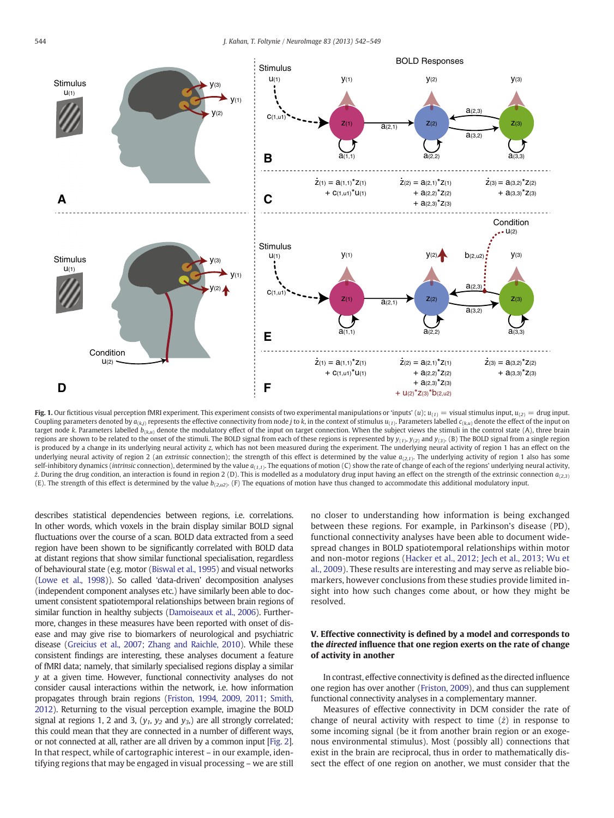<span id="page-2-0"></span>

Fig. 1. Our fictitious visual perception fMRI experiment. This experiment consists of two experimental manipulations or 'inputs' (u);  $u_{(1)} =$  visual stimulus input,  $u_{(2)} =$  drug input. Coupling parameters denoted by  $a_{(k,i)}$  represents the effective connectivity from node j to k, in the context of stimulus  $u_{(1)}$ . Parameters labelled  $c_{(k,u)}$  denote the effect of the input on target node k. Parameters labelled  $b_{(k,u)}$  denote the modulatory effect of the input on target connection. When the subject views the stimuli in the control state (A), three brain regions are shown to be related to the onset of the stimuli. The BOLD signal from each of these regions is represented by  $y_{(1)}$ ,  $y_{(2)}$  and  $y_{(3)}$ . (B) The BOLD signal from a single region is produced by a change in its underlying neural activity z, which has not been measured during the experiment. The underlying neural activity of region 1 has an effect on the underlying neural activity of region 2 (an extrinsic connection); the strength of this effect is determined by the value  $a_{(2,1)}$ . The underlying activity of region 1 also has some self-inhibitory dynamics (intrinsic connection), determined by the value  $a_{(1,1)}$ . The equations of motion (C) show the rate of change of each of the regions' underlying neural activity,  $\dot{z}$ . During the drug condition, an interaction is found in region 2 (D). This is modelled as a modulatory drug input having an effect on the strength of the extrinsic connection  $a_{(2,3)}$ (E). The strength of this effect is determined by the value  $b_{(2,u2)}$ . (F) The equations of motion have thus changed to accommodate this additional modulatory input.

describes statistical dependencies between regions, i.e. correlations. In other words, which voxels in the brain display similar BOLD signal fluctuations over the course of a scan. BOLD data extracted from a seed region have been shown to be significantly correlated with BOLD data at distant regions that show similar functional specialisation, regardless of behavioural state (e.g. motor [\(Biswal et al., 1995](#page-6-0)) and visual networks [\(Lowe et al., 1998\)](#page-7-0)). So called 'data-driven' decomposition analyses (independent component analyses etc.) have similarly been able to document consistent spatiotemporal relationships between brain regions of similar function in healthy subjects [\(Damoiseaux et al., 2006](#page-6-0)). Furthermore, changes in these measures have been reported with onset of disease and may give rise to biomarkers of neurological and psychiatric disease ([Greicius et al., 2007; Zhang and Raichle, 2010](#page-7-0)). While these consistent findings are interesting, these analyses document a feature of fMRI data; namely, that similarly specialised regions display a similar y at a given time. However, functional connectivity analyses do not consider causal interactions within the network, i.e. how information propagates through brain regions ([Friston, 1994, 2009, 2011; Smith,](#page-7-0) [2012](#page-7-0)). Returning to the visual perception example, imagine the BOLD signal at regions 1, 2 and 3,  $(y_1, y_2, z)$  and  $(y_3, z)$  are all strongly correlated; this could mean that they are connected in a number of different ways, or not connected at all, rather are all driven by a common input [\[Fig. 2](#page-3-0)]. In that respect, while of cartographic interest – in our example, identifying regions that may be engaged in visual processing – we are still no closer to understanding how information is being exchanged between these regions. For example, in Parkinson's disease (PD), functional connectivity analyses have been able to document widespread changes in BOLD spatiotemporal relationships within motor and non-motor regions ([Hacker et al., 2012; Jech et al., 2013; Wu et](#page-7-0) [al., 2009](#page-7-0)). These results are interesting and may serve as reliable biomarkers, however conclusions from these studies provide limited insight into how such changes come about, or how they might be resolved.

# V. Effective connectivity is defined by a model and corresponds to the directed influence that one region exerts on the rate of change of activity in another

In contrast, effective connectivity is defined as the directed influence one region has over another [\(Friston, 2009\)](#page-7-0), and thus can supplement functional connectivity analyses in a complementary manner.

Measures of effective connectivity in DCM consider the rate of change of neural activity with respect to time  $(z)$  in response to some incoming signal (be it from another brain region or an exogenous environmental stimulus). Most (possibly all) connections that exist in the brain are reciprocal, thus in order to mathematically dissect the effect of one region on another, we must consider that the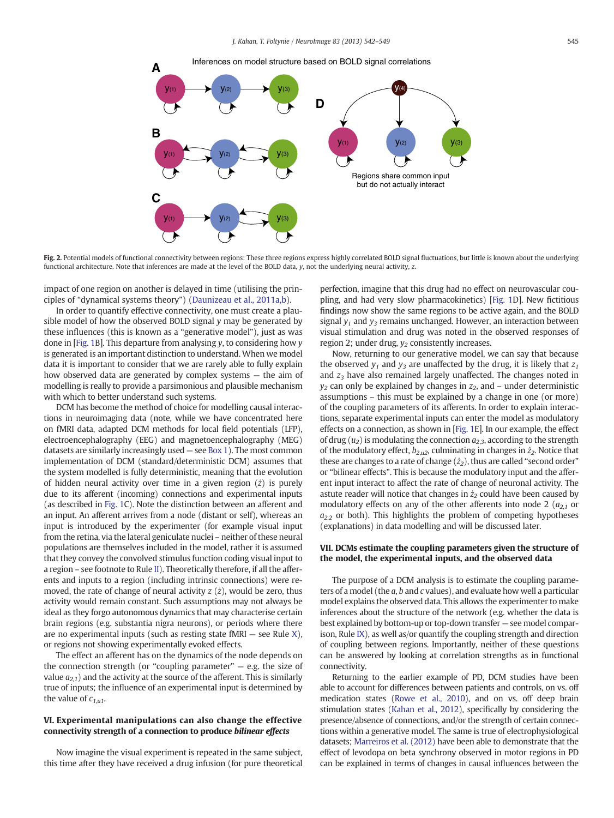<span id="page-3-0"></span>

Fig. 2. Potential models of functional connectivity between regions: These three regions express highly correlated BOLD signal fluctuations, but little is known about the underlying functional architecture. Note that inferences are made at the level of the BOLD data, y, not the underlying neural activity, z.

impact of one region on another is delayed in time (utilising the principles of "dynamical systems theory") ([Daunizeau et al., 2011a,b\)](#page-6-0).

In order to quantify effective connectivity, one must create a plausible model of how the observed BOLD signal y may be generated by these influences (this is known as a "generative model"), just as was done in [[Fig. 1](#page-2-0)B]. This departure from analysing y, to considering how y is generated is an important distinction to understand. When we model data it is important to consider that we are rarely able to fully explain how observed data are generated by complex systems — the aim of modelling is really to provide a parsimonious and plausible mechanism with which to better understand such systems.

DCM has become the method of choice for modelling causal interactions in neuroimaging data (note, while we have concentrated here on fMRI data, adapted DCM methods for local field potentials (LFP), electroencephalography (EEG) and magnetoencephalography (MEG) datasets are similarly increasingly used — see [Box 1](#page-1-0)). The most common implementation of DCM (standard/deterministic DCM) assumes that the system modelled is fully deterministic, meaning that the evolution of hidden neural activity over time in a given region  $(z)$  is purely due to its afferent (incoming) connections and experimental inputs (as described in [Fig. 1](#page-2-0)C). Note the distinction between an afferent and an input. An afferent arrives from a node (distant or self), whereas an input is introduced by the experimenter (for example visual input from the retina, via the lateral geniculate nuclei – neither of these neural populations are themselves included in the model, rather it is assumed that they convey the convolved stimulus function coding visual input to a region – see footnote to Rule [II](#page-0-0)). Theoretically therefore, if all the afferents and inputs to a region (including intrinsic connections) were removed, the rate of change of neural activity  $z(z)$ , would be zero, thus activity would remain constant. Such assumptions may not always be ideal as they forgo autonomous dynamics that may characterise certain brain regions (e.g. substantia nigra neurons), or periods where there are no experimental inputs (such as resting state fMRI  $-$  see Rule [X](#page-4-0)), or regions not showing experimentally evoked effects.

The effect an afferent has on the dynamics of the node depends on the connection strength (or "coupling parameter"  $-$  e.g. the size of value  $a_{2,1}$ ) and the activity at the source of the afferent. This is similarly true of inputs; the influence of an experimental input is determined by the value of  $c_{1, u1}$ .

### VI. Experimental manipulations can also change the effective connectivity strength of a connection to produce bilinear effects

Now imagine the visual experiment is repeated in the same subject, this time after they have received a drug infusion (for pure theoretical perfection, imagine that this drug had no effect on neurovascular coupling, and had very slow pharmacokinetics) [[Fig. 1D](#page-2-0)]. New fictitious findings now show the same regions to be active again, and the BOLD signal  $y_1$  and  $y_3$  remains unchanged. However, an interaction between visual stimulation and drug was noted in the observed responses of region 2; under drug,  $y_2$  consistently increases.

Now, returning to our generative model, we can say that because the observed  $y_1$  and  $y_3$  are unaffected by the drug, it is likely that  $z_1$ and  $z_3$  have also remained largely unaffected. The changes noted in  $y_2$  can only be explained by changes in  $z_2$ , and  $-$  under deterministic assumptions – this must be explained by a change in one (or more) of the coupling parameters of its afferents. In order to explain interactions, separate experimental inputs can enter the model as modulatory effects on a connection, as shown in [\[Fig. 1](#page-2-0)E]. In our example, the effect of drug  $(u_2)$  is modulating the connection  $a_{2,3}$ , according to the strength of the modulatory effect,  $b_{2,u2}$ , culminating in changes in  $\dot{z}_2$ . Notice that these are changes to a rate of change  $(\dot{z}_2)$ , thus are called "second order" or "bilinear effects". This is because the modulatory input and the afferent input interact to affect the rate of change of neuronal activity. The astute reader will notice that changes in  $\dot{z}_2$  could have been caused by modulatory effects on any of the other afferents into node 2  $(a_{2,1}$  or  $a_{22}$  or both). This highlights the problem of competing hypotheses (explanations) in data modelling and will be discussed later.

#### VII. DCMs estimate the coupling parameters given the structure of the model, the experimental inputs, and the observed data

The purpose of a DCM analysis is to estimate the coupling parameters of a model (the *a*, *b* and *c* values), and evaluate how well a particular model explains the observed data. This allows the experimenter to make inferences about the structure of the network (e.g. whether the data is best explained by bottom-up or top-down transfer — see model comparison, Rule [IX\)](#page-4-0), as well as/or quantify the coupling strength and direction of coupling between regions. Importantly, neither of these questions can be answered by looking at correlation strengths as in functional connectivity.

Returning to the earlier example of PD, DCM studies have been able to account for differences between patients and controls, on vs. off medication states [\(Rowe et al., 2010](#page-7-0)), and on vs. off deep brain stimulation states [\(Kahan et al., 2012](#page-7-0)), specifically by considering the presence/absence of connections, and/or the strength of certain connections within a generative model. The same is true of electrophysiological datasets; [Marreiros et al. \(2012\)](#page-7-0) have been able to demonstrate that the effect of levodopa on beta synchrony observed in motor regions in PD can be explained in terms of changes in causal influences between the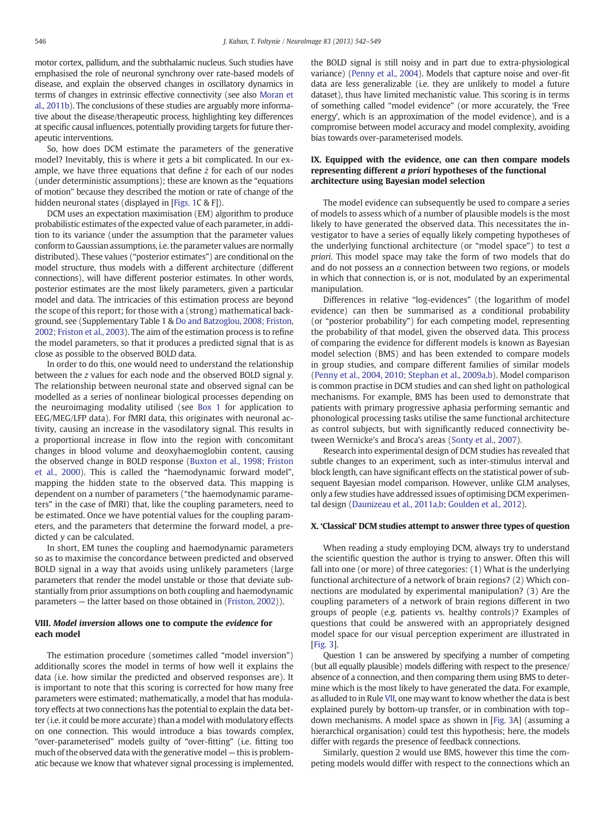<span id="page-4-0"></span>motor cortex, pallidum, and the subthalamic nucleus. Such studies have emphasised the role of neuronal synchrony over rate-based models of disease, and explain the observed changes in oscillatory dynamics in terms of changes in extrinsic effective connectivity (see also [Moran et](#page-7-0) [al., 2011b](#page-7-0)). The conclusions of these studies are arguably more informative about the disease/therapeutic process, highlighting key differences at specific causal influences, potentially providing targets for future therapeutic interventions.

So, how does DCM estimate the parameters of the generative model? Inevitably, this is where it gets a bit complicated. In our example, we have three equations that define ż for each of our nodes (under deterministic assumptions); these are known as the "equations of motion" because they described the motion or rate of change of the hidden neuronal states (displayed in [[Figs. 1C](#page-2-0) & F]).

DCM uses an expectation maximisation (EM) algorithm to produce probabilistic estimates of the expected value of each parameter, in addition to its variance (under the assumption that the parameter values conform to Gaussian assumptions, i.e. the parameter values are normally distributed). These values ("posterior estimates") are conditional on the model structure, thus models with a different architecture (different connections), will have different posterior estimates. In other words, posterior estimates are the most likely parameters, given a particular model and data. The intricacies of this estimation process are beyond the scope of this report; for those with a (strong) mathematical background, see (Supplementary Table 1 & [Do and Batzoglou, 2008; Friston,](#page-7-0) [2002; Friston et al., 2003](#page-7-0)). The aim of the estimation process is to refine the model parameters, so that it produces a predicted signal that is as close as possible to the observed BOLD data.

In order to do this, one would need to understand the relationship between the z values for each node and the observed BOLD signal y. The relationship between neuronal state and observed signal can be modelled as a series of nonlinear biological processes depending on the neuroimaging modality utilised (see [Box 1](#page-1-0) for application to EEG/MEG/LFP data). For fMRI data, this originates with neuronal activity, causing an increase in the vasodilatory signal. This results in a proportional increase in flow into the region with concomitant changes in blood volume and deoxyhaemoglobin content, causing the observed change in BOLD response [\(Buxton et al., 1998; Friston](#page-6-0) [et al., 2000\)](#page-6-0). This is called the "haemodynamic forward model", mapping the hidden state to the observed data. This mapping is dependent on a number of parameters ("the haemodynamic parameters" in the case of fMRI) that, like the coupling parameters, need to be estimated. Once we have potential values for the coupling parameters, and the parameters that determine the forward model, a predicted y can be calculated.

In short, EM tunes the coupling and haemodynamic parameters so as to maximise the concordance between predicted and observed BOLD signal in a way that avoids using unlikely parameters (large parameters that render the model unstable or those that deviate substantially from prior assumptions on both coupling and haemodynamic parameters — the latter based on those obtained in [\(Friston, 2002](#page-7-0))).

#### VIII. Model inversion allows one to compute the evidence for each model

The estimation procedure (sometimes called "model inversion") additionally scores the model in terms of how well it explains the data (i.e. how similar the predicted and observed responses are). It is important to note that this scoring is corrected for how many free parameters were estimated; mathematically, a model that has modulatory effects at two connections has the potential to explain the data better (i.e. it could be more accurate) than a model with modulatory effects on one connection. This would introduce a bias towards complex, "over-parameterised" models guilty of "over-fitting" (i.e. fitting too much of the observed data with the generative model — this is problematic because we know that whatever signal processing is implemented, the BOLD signal is still noisy and in part due to extra-physiological variance) [\(Penny et al., 2004\)](#page-7-0). Models that capture noise and over-fit data are less generalizable (i.e. they are unlikely to model a future dataset), thus have limited mechanistic value. This scoring is in terms of something called "model evidence" (or more accurately, the 'Free energy', which is an approximation of the model evidence), and is a compromise between model accuracy and model complexity, avoiding bias towards over-parameterised models.

### IX. Equipped with the evidence, one can then compare models representing different a priori hypotheses of the functional architecture using Bayesian model selection

The model evidence can subsequently be used to compare a series of models to assess which of a number of plausible models is the most likely to have generated the observed data. This necessitates the investigator to have a series of equally likely competing hypotheses of the underlying functional architecture (or "model space") to test  $a$ priori. This model space may take the form of two models that do and do not possess an a connection between two regions, or models in which that connection is, or is not, modulated by an experimental manipulation.

Differences in relative "log-evidences" (the logarithm of model evidence) can then be summarised as a conditional probability (or "posterior probability") for each competing model, representing the probability of that model, given the observed data. This process of comparing the evidence for different models is known as Bayesian model selection (BMS) and has been extended to compare models in group studies, and compare different families of similar models [\(Penny et al., 2004, 2010; Stephan et al., 2009a,b\)](#page-7-0). Model comparison is common practise in DCM studies and can shed light on pathological mechanisms. For example, BMS has been used to demonstrate that patients with primary progressive aphasia performing semantic and phonological processing tasks utilise the same functional architecture as control subjects, but with significantly reduced connectivity between Wernicke's and Broca's areas [\(Sonty et al., 2007](#page-7-0)).

Research into experimental design of DCM studies has revealed that subtle changes to an experiment, such as inter-stimulus interval and block length, can have significant effects on the statistical power of subsequent Bayesian model comparison. However, unlike GLM analyses, only a few studies have addressed issues of optimising DCM experimental design ([Daunizeau et al., 2011a,b; Goulden et al., 2012\)](#page-6-0).

#### X. 'Classical' DCM studies attempt to answer three types of question

When reading a study employing DCM, always try to understand the scientific question the author is trying to answer. Often this will fall into one (or more) of three categories: (1) What is the underlying functional architecture of a network of brain regions? (2) Which connections are modulated by experimental manipulation? (3) Are the coupling parameters of a network of brain regions different in two groups of people (e.g. patients vs. healthy controls)? Examples of questions that could be answered with an appropriately designed model space for our visual perception experiment are illustrated in [[Fig. 3\]](#page-5-0).

Question 1 can be answered by specifying a number of competing (but all equally plausible) models differing with respect to the presence/ absence of a connection, and then comparing them using BMS to determine which is the most likely to have generated the data. For example, as alluded to in Rule [VII](#page-3-0), one may want to know whether the data is best explained purely by bottom-up transfer, or in combination with top– down mechanisms. A model space as shown in [[Fig. 3](#page-5-0)A] (assuming a hierarchical organisation) could test this hypothesis; here, the models differ with regards the presence of feedback connections.

Similarly, question 2 would use BMS, however this time the competing models would differ with respect to the connections which an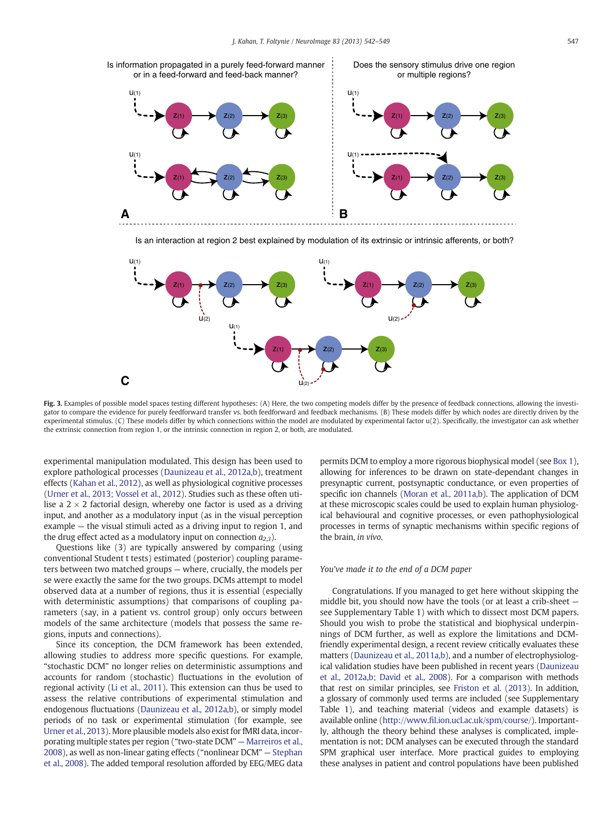<span id="page-5-0"></span>

Is an interaction at region 2 best explained by modulation of its extrinsic or intrinsic afferents, or both?



Fig. 3. Examples of possible model spaces testing different hypotheses: (A) Here, the two competing models differ by the presence of feedback connections, allowing the investigator to compare the evidence for purely feedforward transfer vs. both feedforward and feedback mechanisms. (B) These models differ by which nodes are directly driven by the experimental stimulus. (C) These models differ by which connections within the model are modulated by experimental factor u(2). Specifically, the investigator can ask whether the extrinsic connection from region 1, or the intrinsic connection in region 2, or both, are modulated.

experimental manipulation modulated. This design has been used to explore pathological processes [\(Daunizeau et al., 2012a,b\)](#page-6-0), treatment effects ([Kahan et al., 2012\)](#page-7-0), as well as physiological cognitive processes [\(Urner et al., 2013; Vossel et al., 2012\)](#page-7-0). Studies such as these often utilise a  $2 \times 2$  factorial design, whereby one factor is used as a driving input, and another as a modulatory input (as in the visual perception example — the visual stimuli acted as a driving input to region 1, and the drug effect acted as a modulatory input on connection  $a_{23}$ ).

Questions like (3) are typically answered by comparing (using conventional Student t tests) estimated (posterior) coupling parameters between two matched groups — where, crucially, the models per se were exactly the same for the two groups. DCMs attempt to model observed data at a number of regions, thus it is essential (especially with deterministic assumptions) that comparisons of coupling parameters (say, in a patient vs. control group) only occurs between models of the same architecture (models that possess the same regions, inputs and connections).

Since its conception, the DCM framework has been extended, allowing studies to address more specific questions. For example, "stochastic DCM" no longer relies on deterministic assumptions and accounts for random (stochastic) fluctuations in the evolution of regional activity ([Li et al., 2011](#page-7-0)). This extension can thus be used to assess the relative contributions of experimental stimulation and endogenous fluctuations [\(Daunizeau et al., 2012a,b](#page-6-0)), or simply model periods of no task or experimental stimulation (for example, see [Urner et al., 2013](#page-7-0)). More plausible models also exist for fMRI data, incorporating multiple states per region ("two-state DCM" — [Marreiros et al.,](#page-7-0) [2008](#page-7-0)), as well as non-linear gating effects ("nonlinear DCM" — [Stephan](#page-7-0) [et al., 2008\)](#page-7-0). The added temporal resolution afforded by EEG/MEG data

permits DCM to employ a more rigorous biophysical model (see [Box 1](#page-1-0)), allowing for inferences to be drawn on state-dependant changes in presynaptic current, postsynaptic conductance, or even properties of specific ion channels ([Moran et al., 2011a,b](#page-7-0)). The application of DCM at these microscopic scales could be used to explain human physiological behavioural and cognitive processes, or even pathophysiological processes in terms of synaptic mechanisms within specific regions of the brain, in vivo.

#### You've made it to the end of a DCM paper

Congratulations. If you managed to get here without skipping the middle bit, you should now have the tools (or at least a crib-sheet see Supplementary Table 1) with which to dissect most DCM papers. Should you wish to probe the statistical and biophysical underpinnings of DCM further, as well as explore the limitations and DCMfriendly experimental design, a recent review critically evaluates these matters [\(Daunizeau et al., 2011a,b\)](#page-6-0), and a number of electrophysiological validation studies have been published in recent years ([Daunizeau](#page-6-0) [et al., 2012a,b; David et al., 2008\)](#page-6-0). For a comparison with methods that rest on similar principles, see [Friston et al. \(2013\).](#page-7-0) In addition, a glossary of commonly used terms are included (see Supplementary Table 1), and teaching material (videos and example datasets) is available online (http://www.fi[l.ion.ucl.ac.uk/spm/course/](http://www.fil.ion.ucl.ac.uk/spm/course/)). Importantly, although the theory behind these analyses is complicated, implementation is not; DCM analyses can be executed through the standard SPM graphical user interface. More practical guides to employing these analyses in patient and control populations have been published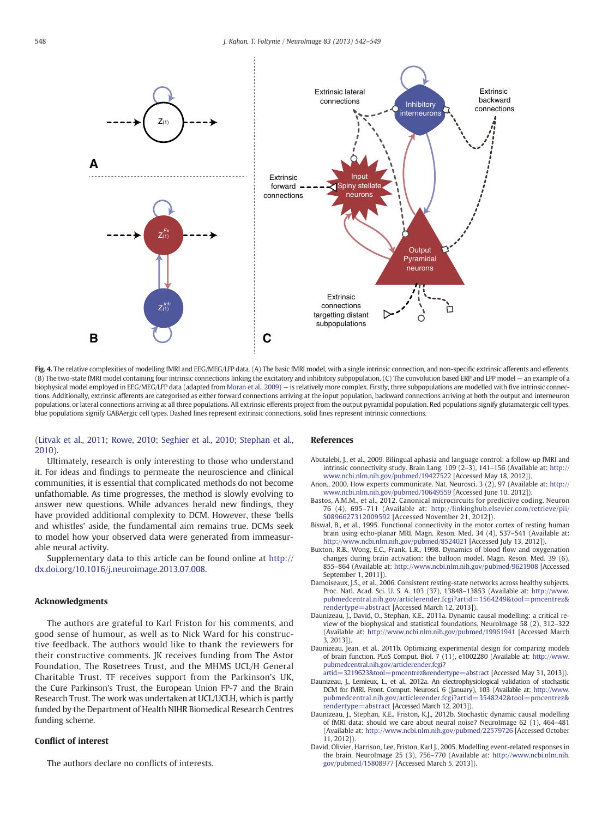<span id="page-6-0"></span>

Fig. 4. The relative complexities of modelling fMRI and EEG/MEG/LFP data. (A) The basic fMRI model, with a single intrinsic connection, and non-specific extrinsic afferents and efferents. (B) The two-state fMRI model containing four intrinsic connections linking the excitatory and inhibitory subpopulation. (C) The convolution based ERP and LFP model — an example of a biophysical model employed in EEG/MEG/LFP data (adapted from [Moran et al., 2009\)](#page-7-0) — is relatively more complex. Firstly, three subpopulations are modelled with five intrinsic connections. Additionally, extrinsic afferents are categorised as either forward connections arriving at the input population, backward connections arriving at both the output and interneuron populations, or lateral connections arriving at all three populations. All extrinsic efferents project from the output pyramidal population. Red populations signify glutamatergic cell types, blue populations signify GABAergic cell types. Dashed lines represent extrinsic connections, solid lines represent intrinsic connections.

# [\(Litvak et al., 2011; Rowe, 2010; Seghier et al., 2010; Stephan et al.,](#page-7-0) [2010\)](#page-7-0).

Ultimately, research is only interesting to those who understand it. For ideas and findings to permeate the neuroscience and clinical communities, it is essential that complicated methods do not become unfathomable. As time progresses, the method is slowly evolving to answer new questions. While advances herald new findings, they have provided additional complexity to DCM. However, these 'bells and whistles' aside, the fundamental aim remains true. DCMs seek to model how your observed data were generated from immeasurable neural activity.

Supplementary data to this article can be found online at [http://](http://dx.doi.org/10.1016/j.neuroimage.2013.07.008) [dx.doi.org/10.1016/j.neuroimage.2013.07.008](http://dx.doi.org/10.1016/j.neuroimage.2013.07.008).

#### Acknowledgments

The authors are grateful to Karl Friston for his comments, and good sense of humour, as well as to Nick Ward for his constructive feedback. The authors would like to thank the reviewers for their constructive comments. JK receives funding from The Astor Foundation, The Rosetrees Trust, and the MHMS UCL/H General Charitable Trust. TF receives support from the Parkinson's UK, the Cure Parkinson's Trust, the European Union FP-7 and the Brain Research Trust. The work was undertaken at UCL/UCLH, which is partly funded by the Department of Health NIHR Biomedical Research Centres funding scheme.

### Conflict of interest

The authors declare no conflicts of interests.

#### References

- Abutalebi, J., et al., 2009. Bilingual aphasia and language control: a follow-up fMRI and intrinsic connectivity study. Brain Lang. 109 (2–3), 141–156 (Available at: [http://](http://www.ncbi.nlm.nih.gov/pubmed/19427522) [www.ncbi.nlm.nih.gov/pubmed/19427522](http://www.ncbi.nlm.nih.gov/pubmed/19427522) [Accessed May 18, 2012]).
- Anon., 2000. How experts communicate. Nat. Neurosci. 3 (2), 97 (Available at: [http://](http://www.ncbi.nlm.nih.gov/pubmed/10649559) [www.ncbi.nlm.nih.gov/pubmed/10649559](http://www.ncbi.nlm.nih.gov/pubmed/10649559) [Accessed June 10, 2012]).
- Bastos, A.M.M., et al., 2012. Canonical microcircuits for predictive coding. Neuron 76 (4), 695–711 (Available at: [http://linkinghub.elsevier.com/retrieve/pii/](http://linkinghub.elsevier.com/retrieve/pii/S0896627312009592) [S0896627312009592](http://linkinghub.elsevier.com/retrieve/pii/S0896627312009592) [Accessed November 21, 2012]).
- Biswal, B., et al., 1995. Functional connectivity in the motor cortex of resting human brain using echo-planar MRI. Magn. Reson. Med. 34 (4), 537–541 (Available at: <http://www.ncbi.nlm.nih.gov/pubmed/8524021> [Accessed July 13, 2012]).
- Buxton, R.B., Wong, E.C., Frank, L.R., 1998. Dynamics of blood flow and oxygenation changes during brain activation: the balloon model. Magn. Reson. Med. 39 (6), 855–864 (Available at: <http://www.ncbi.nlm.nih.gov/pubmed/9621908> [Accessed September 1, 2011]).
- Damoiseaux, J.S., et al., 2006. Consistent resting-state networks across healthy subjects. Proc. Natl. Acad. Sci. U. S. A. 103 (37), 13848–13853 (Available at: [http://www.](http://www.pubmedcentral.nih.gov/articlerender.fcgi?artid=1564249&tool=pmcentrez&rendertype=abstract) [pubmedcentral.nih.gov/articlerender.fcgi?artid=1564249&tool=pmcentrez&](http://www.pubmedcentral.nih.gov/articlerender.fcgi?artid=1564249&tool=pmcentrez&rendertype=abstract) [rendertype=abstract](http://www.pubmedcentral.nih.gov/articlerender.fcgi?artid=1564249&tool=pmcentrez&rendertype=abstract) [Accessed March 12, 2013]).
- Daunizeau, J., David, O., Stephan, K.E., 2011a. Dynamic causal modelling: a critical review of the biophysical and statistical foundations. NeuroImage 58 (2), 312–322 (Available at: <http://www.ncbi.nlm.nih.gov/pubmed/19961941> [Accessed March 3, 2013]).
- Daunizeau, Jean, et al., 2011b. Optimizing experimental design for comparing models of brain function. PLoS Comput. Biol. 7 (11), e1002280 (Available at: [http://www.](http://www.pubmedcentral.nih.gov/articlerender.fcgi?artid=3219623&tool=pmcentrez&rendertype=abstract) [pubmedcentral.nih.gov/articlerender.fcgi?](http://www.pubmedcentral.nih.gov/articlerender.fcgi?artid=3219623&tool=pmcentrez&rendertype=abstract)
- [artid=3219623&tool=pmcentrez&rendertype=abstract](http://www.pubmedcentral.nih.gov/articlerender.fcgi?artid=3219623&tool=pmcentrez&rendertype=abstract) [Accessed May 31, 2013]). Daunizeau, J., Lemieux, L., et al., 2012a. An electrophysiological validation of stochastic
- DCM for fMRI. Front. Comput. Neurosci. 6 (January), 103 (Available at: [http://www.](http://www.pubmedcentral.nih.gov/articlerender.fcgi?artid=3548242&tool=pmcentrez&rendertype=abstract) [pubmedcentral.nih.gov/articlerender.fcgi?artid=3548242&tool=pmcentrez&](http://www.pubmedcentral.nih.gov/articlerender.fcgi?artid=3548242&tool=pmcentrez&rendertype=abstract) [rendertype=abstract](http://www.pubmedcentral.nih.gov/articlerender.fcgi?artid=3548242&tool=pmcentrez&rendertype=abstract) [Accessed March 12, 2013]).
- Daunizeau, J., Stephan, K.E., Friston, K.J., 2012b. Stochastic dynamic causal modelling of fMRI data: should we care about neural noise? NeuroImage 62 (1), 464–481 (Available at: <http://www.ncbi.nlm.nih.gov/pubmed/22579726> [Accessed October 11, 2012]).
- David, Olivier, Harrison, Lee, Friston, Karl J., 2005. Modelling event-related responses in the brain. NeuroImage 25 (3), 756–770 (Available at: [http://www.ncbi.nlm.nih.](http://www.ncbi.nlm.nih.gov/pubmed/15808977) [gov/pubmed/15808977](http://www.ncbi.nlm.nih.gov/pubmed/15808977) [Accessed March 5, 2013]).